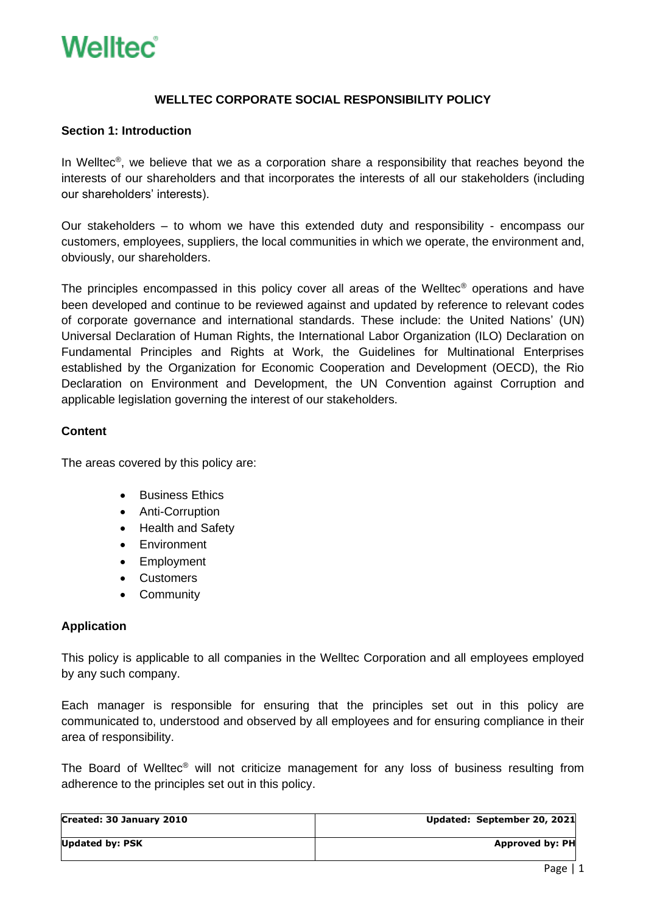### **WELLTEC CORPORATE SOCIAL RESPONSIBILITY POLICY**

### **Section 1: Introduction**

In Welltec<sup>®</sup>, we believe that we as a corporation share a responsibility that reaches beyond the interests of our shareholders and that incorporates the interests of all our stakeholders (including our shareholders' interests).

Our stakeholders – to whom we have this extended duty and responsibility - encompass our customers, employees, suppliers, the local communities in which we operate, the environment and, obviously, our shareholders.

The principles encompassed in this policy cover all areas of the Welltec® operations and have been developed and continue to be reviewed against and updated by reference to relevant codes of corporate governance and international standards. These include: the United Nations' (UN) Universal Declaration of Human Rights, the International Labor Organization (ILO) Declaration on Fundamental Principles and Rights at Work, the Guidelines for Multinational Enterprises established by the Organization for Economic Cooperation and Development (OECD), the Rio Declaration on Environment and Development, the UN Convention against Corruption and applicable legislation governing the interest of our stakeholders.

#### **Content**

The areas covered by this policy are:

- Business Ethics
- Anti-Corruption
- Health and Safety
- Environment
- Employment
- Customers
- Community

### **Application**

This policy is applicable to all companies in the Welltec Corporation and all employees employed by any such company.

Each manager is responsible for ensuring that the principles set out in this policy are communicated to, understood and observed by all employees and for ensuring compliance in their area of responsibility.

The Board of Welltec® will not criticize management for any loss of business resulting from adherence to the principles set out in this policy.

| Created: 30 January 2010 | Updated: September 20, 2021 |
|--------------------------|-----------------------------|
|                          |                             |
| <b>Updated by: PSK</b>   | <b>Approved by: PH</b>      |
|                          |                             |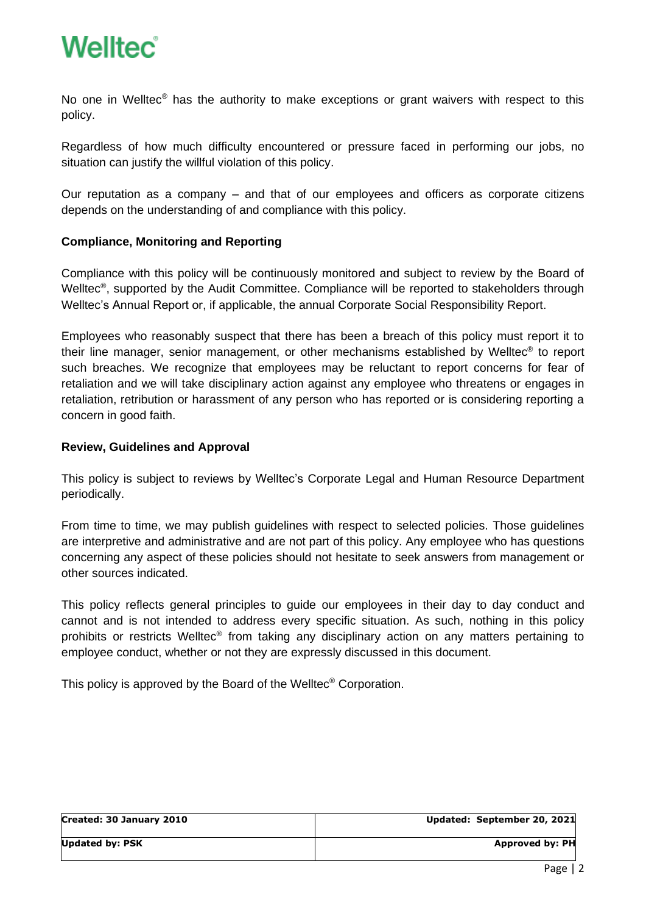

No one in Welltec<sup>®</sup> has the authority to make exceptions or grant waivers with respect to this policy.

Regardless of how much difficulty encountered or pressure faced in performing our jobs, no situation can justify the willful violation of this policy.

Our reputation as a company – and that of our employees and officers as corporate citizens depends on the understanding of and compliance with this policy.

### **Compliance, Monitoring and Reporting**

Compliance with this policy will be continuously monitored and subject to review by the Board of Welltec<sup>®</sup>, supported by the Audit Committee. Compliance will be reported to stakeholders through Welltec's Annual Report or, if applicable, the annual Corporate Social Responsibility Report.

Employees who reasonably suspect that there has been a breach of this policy must report it to their line manager, senior management, or other mechanisms established by Welltec® to report such breaches. We recognize that employees may be reluctant to report concerns for fear of retaliation and we will take disciplinary action against any employee who threatens or engages in retaliation, retribution or harassment of any person who has reported or is considering reporting a concern in good faith.

### **Review, Guidelines and Approval**

This policy is subject to reviews by Welltec's Corporate Legal and Human Resource Department periodically.

From time to time, we may publish guidelines with respect to selected policies. Those guidelines are interpretive and administrative and are not part of this policy. Any employee who has questions concerning any aspect of these policies should not hesitate to seek answers from management or other sources indicated.

This policy reflects general principles to guide our employees in their day to day conduct and cannot and is not intended to address every specific situation. As such, nothing in this policy prohibits or restricts Welltec<sup>®</sup> from taking any disciplinary action on any matters pertaining to employee conduct, whether or not they are expressly discussed in this document.

This policy is approved by the Board of the Welltec® Corporation.

| Created: 30 January 2010 | Updated: September 20, 2021 |
|--------------------------|-----------------------------|
| <b>Updated by: PSK</b>   | Approved by: PH             |
|                          |                             |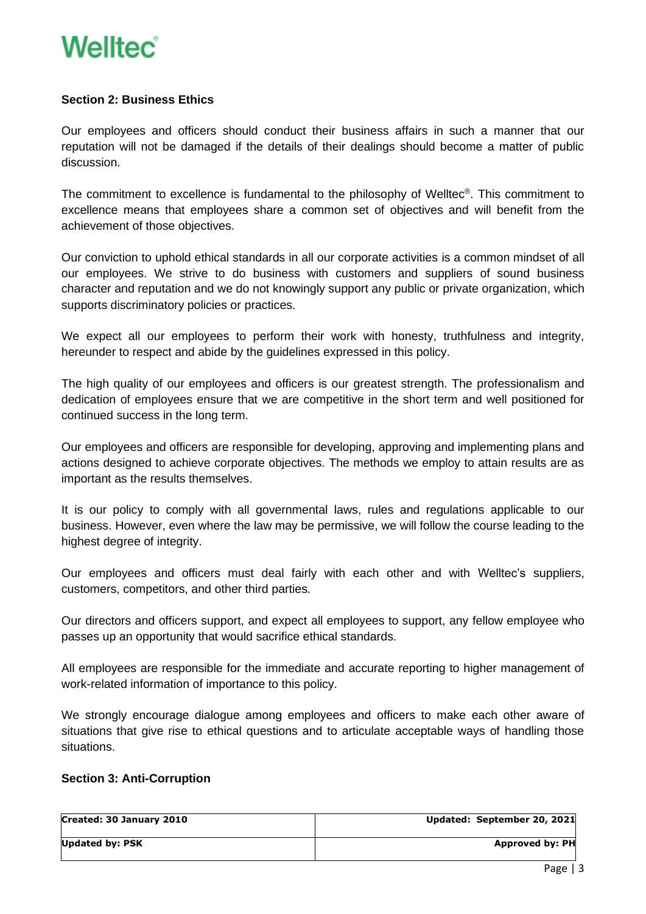### **Section 2: Business Ethics**

Our employees and officers should conduct their business affairs in such a manner that our reputation will not be damaged if the details of their dealings should become a matter of public discussion.

The commitment to excellence is fundamental to the philosophy of Welltec® . This commitment to excellence means that employees share a common set of objectives and will benefit from the achievement of those objectives.

Our conviction to uphold ethical standards in all our corporate activities is a common mindset of all our employees. We strive to do business with customers and suppliers of sound business character and reputation and we do not knowingly support any public or private organization, which supports discriminatory policies or practices.

We expect all our employees to perform their work with honesty, truthfulness and integrity, hereunder to respect and abide by the guidelines expressed in this policy.

The high quality of our employees and officers is our greatest strength. The professionalism and dedication of employees ensure that we are competitive in the short term and well positioned for continued success in the long term.

Our employees and officers are responsible for developing, approving and implementing plans and actions designed to achieve corporate objectives. The methods we employ to attain results are as important as the results themselves.

It is our policy to comply with all governmental laws, rules and regulations applicable to our business. However, even where the law may be permissive, we will follow the course leading to the highest degree of integrity.

Our employees and officers must deal fairly with each other and with Welltec's suppliers, customers, competitors, and other third parties.

Our directors and officers support, and expect all employees to support, any fellow employee who passes up an opportunity that would sacrifice ethical standards.

All employees are responsible for the immediate and accurate reporting to higher management of work-related information of importance to this policy.

We strongly encourage dialogue among employees and officers to make each other aware of situations that give rise to ethical questions and to articulate acceptable ways of handling those situations.

### **Section 3: Anti-Corruption**

| Created: 30 January 2010 | Updated: September 20, 2021 |
|--------------------------|-----------------------------|
| <b>Updated by: PSK</b>   | <b>Approved by: PH</b>      |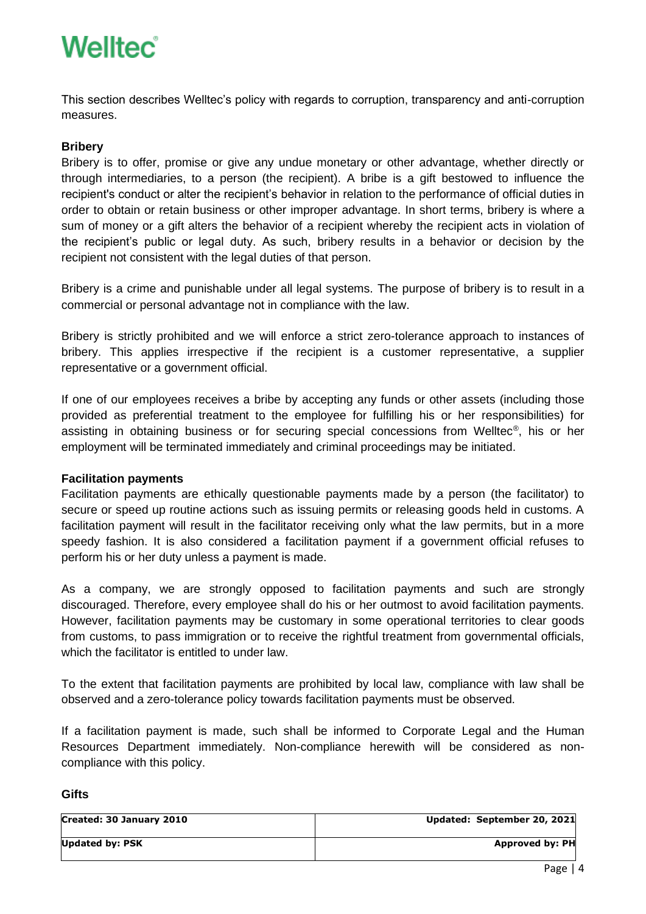This section describes Welltec's policy with regards to corruption, transparency and anti-corruption measures.

### **Bribery**

Bribery is to offer, promise or give any undue monetary or other advantage, whether directly or through intermediaries, to a person (the recipient). A bribe is a gift bestowed to influence the recipient's conduct or alter the recipient's behavior in relation to the performance of official duties in order to obtain or retain business or other improper advantage. In short terms, bribery is where a sum of money or a gift alters the behavior of a recipient whereby the recipient acts in violation of the recipient's public or legal duty. As such, bribery results in a behavior or decision by the recipient not consistent with the legal duties of that person.

Bribery is a crime and punishable under all legal systems. The purpose of bribery is to result in a commercial or personal advantage not in compliance with the law.

Bribery is strictly prohibited and we will enforce a strict zero-tolerance approach to instances of bribery. This applies irrespective if the recipient is a customer representative, a supplier representative or a government official.

If one of our employees receives a bribe by accepting any funds or other assets (including those provided as preferential treatment to the employee for fulfilling his or her responsibilities) for assisting in obtaining business or for securing special concessions from Welltec® , his or her employment will be terminated immediately and criminal proceedings may be initiated.

### **Facilitation payments**

Facilitation payments are ethically questionable payments made by a person (the facilitator) to secure or speed up routine actions such as issuing permits or releasing goods held in customs. A facilitation payment will result in the facilitator receiving only what the law permits, but in a more speedy fashion. It is also considered a facilitation payment if a government official refuses to perform his or her duty unless a payment is made.

As a company, we are strongly opposed to facilitation payments and such are strongly discouraged. Therefore, every employee shall do his or her outmost to avoid facilitation payments. However, facilitation payments may be customary in some operational territories to clear goods from customs, to pass immigration or to receive the rightful treatment from governmental officials, which the facilitator is entitled to under law.

To the extent that facilitation payments are prohibited by local law, compliance with law shall be observed and a zero-tolerance policy towards facilitation payments must be observed.

If a facilitation payment is made, such shall be informed to Corporate Legal and the Human Resources Department immediately. Non-compliance herewith will be considered as noncompliance with this policy.

### **Gifts**

| Created: 30 January 2010 | Updated: September 20, 2021 |
|--------------------------|-----------------------------|
| <b>Updated by: PSK</b>   | Approved by: PH             |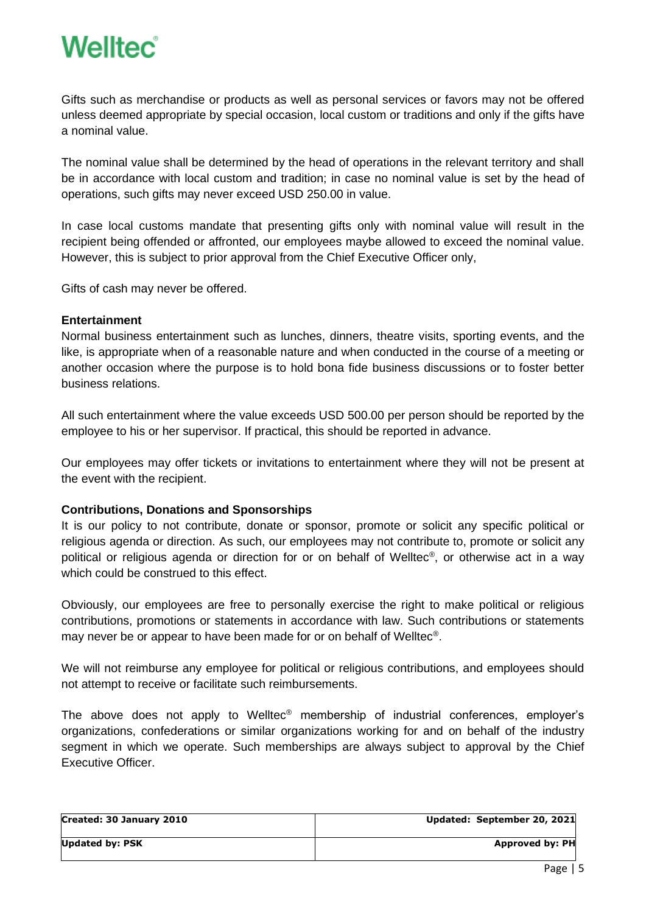Gifts such as merchandise or products as well as personal services or favors may not be offered unless deemed appropriate by special occasion, local custom or traditions and only if the gifts have a nominal value.

The nominal value shall be determined by the head of operations in the relevant territory and shall be in accordance with local custom and tradition; in case no nominal value is set by the head of operations, such gifts may never exceed USD 250.00 in value.

In case local customs mandate that presenting gifts only with nominal value will result in the recipient being offended or affronted, our employees maybe allowed to exceed the nominal value. However, this is subject to prior approval from the Chief Executive Officer only,

Gifts of cash may never be offered.

### **Entertainment**

Normal business entertainment such as lunches, dinners, theatre visits, sporting events, and the like, is appropriate when of a reasonable nature and when conducted in the course of a meeting or another occasion where the purpose is to hold bona fide business discussions or to foster better business relations.

All such entertainment where the value exceeds USD 500.00 per person should be reported by the employee to his or her supervisor. If practical, this should be reported in advance.

Our employees may offer tickets or invitations to entertainment where they will not be present at the event with the recipient.

### **Contributions, Donations and Sponsorships**

It is our policy to not contribute, donate or sponsor, promote or solicit any specific political or religious agenda or direction. As such, our employees may not contribute to, promote or solicit any political or religious agenda or direction for or on behalf of Welltec® , or otherwise act in a way which could be construed to this effect.

Obviously, our employees are free to personally exercise the right to make political or religious contributions, promotions or statements in accordance with law. Such contributions or statements may never be or appear to have been made for or on behalf of Welltec®.

We will not reimburse any employee for political or religious contributions, and employees should not attempt to receive or facilitate such reimbursements.

The above does not apply to Welltec® membership of industrial conferences, employer's organizations, confederations or similar organizations working for and on behalf of the industry segment in which we operate. Such memberships are always subject to approval by the Chief Executive Officer.

| Created: 30 January 2010 | Updated: September 20, 2021 |
|--------------------------|-----------------------------|
| Updated by: PSK          | Approved by: PH             |
|                          |                             |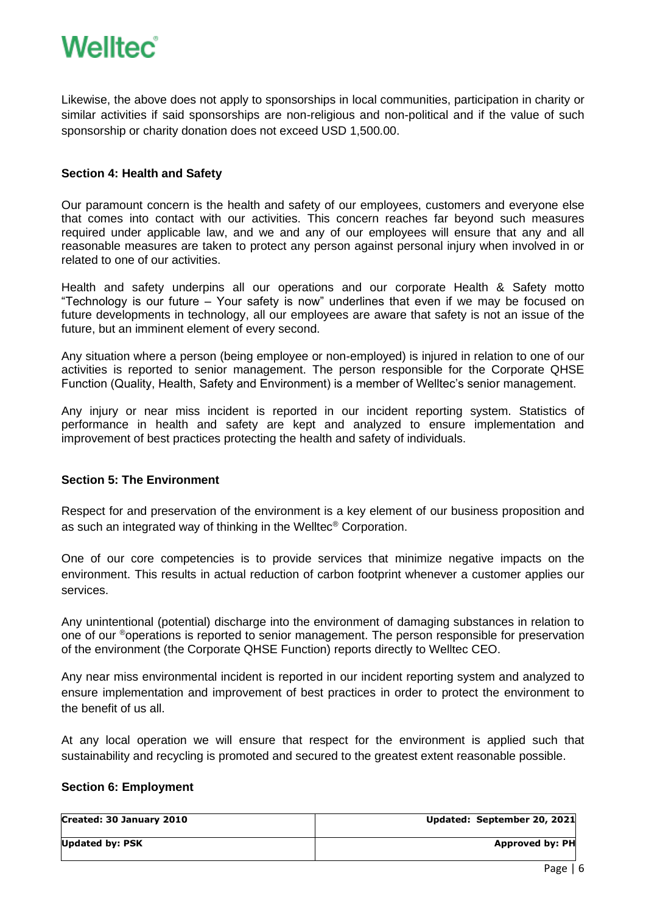Likewise, the above does not apply to sponsorships in local communities, participation in charity or similar activities if said sponsorships are non-religious and non-political and if the value of such sponsorship or charity donation does not exceed USD 1,500.00.

### **Section 4: Health and Safety**

Our paramount concern is the health and safety of our employees, customers and everyone else that comes into contact with our activities. This concern reaches far beyond such measures required under applicable law, and we and any of our employees will ensure that any and all reasonable measures are taken to protect any person against personal injury when involved in or related to one of our activities.

Health and safety underpins all our operations and our corporate Health & Safety motto "Technology is our future – Your safety is now" underlines that even if we may be focused on future developments in technology, all our employees are aware that safety is not an issue of the future, but an imminent element of every second.

Any situation where a person (being employee or non-employed) is injured in relation to one of our activities is reported to senior management. The person responsible for the Corporate QHSE Function (Quality, Health, Safety and Environment) is a member of Welltec's senior management.

Any injury or near miss incident is reported in our incident reporting system. Statistics of performance in health and safety are kept and analyzed to ensure implementation and improvement of best practices protecting the health and safety of individuals.

### **Section 5: The Environment**

Respect for and preservation of the environment is a key element of our business proposition and as such an integrated way of thinking in the Welltec® Corporation.

One of our core competencies is to provide services that minimize negative impacts on the environment. This results in actual reduction of carbon footprint whenever a customer applies our services.

Any unintentional (potential) discharge into the environment of damaging substances in relation to one of our ®operations is reported to senior management. The person responsible for preservation of the environment (the Corporate QHSE Function) reports directly to Welltec CEO.

Any near miss environmental incident is reported in our incident reporting system and analyzed to ensure implementation and improvement of best practices in order to protect the environment to the benefit of us all.

At any local operation we will ensure that respect for the environment is applied such that sustainability and recycling is promoted and secured to the greatest extent reasonable possible.

### **Section 6: Employment**

| Created: 30 January 2010 | Updated: September 20, 2021 |
|--------------------------|-----------------------------|
| <b>Updated by: PSK</b>   | <b>Approved by: PH</b>      |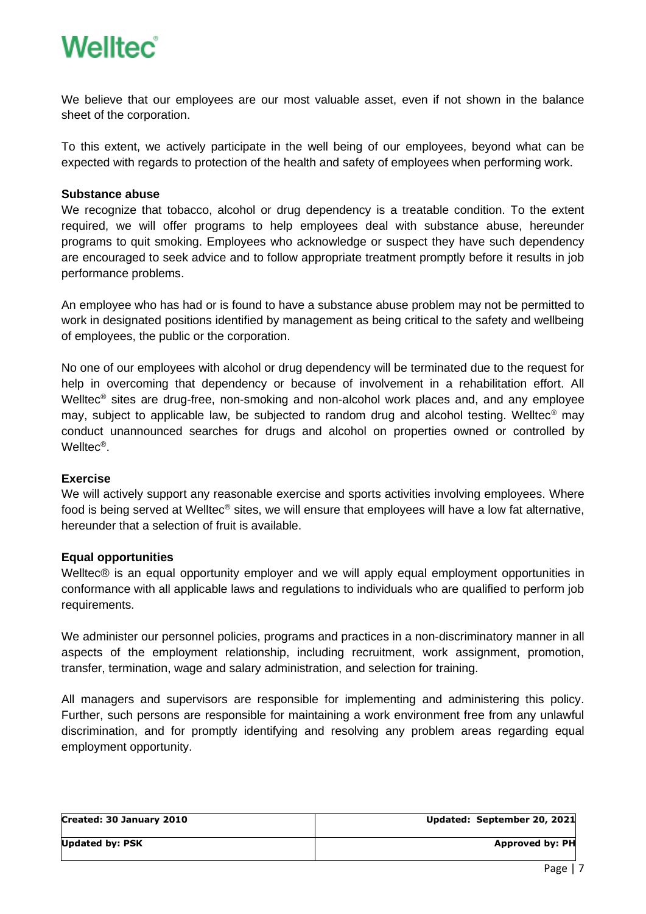We believe that our employees are our most valuable asset, even if not shown in the balance sheet of the corporation.

To this extent, we actively participate in the well being of our employees, beyond what can be expected with regards to protection of the health and safety of employees when performing work.

### **Substance abuse**

We recognize that tobacco, alcohol or drug dependency is a treatable condition. To the extent required, we will offer programs to help employees deal with substance abuse, hereunder programs to quit smoking. Employees who acknowledge or suspect they have such dependency are encouraged to seek advice and to follow appropriate treatment promptly before it results in job performance problems.

An employee who has had or is found to have a substance abuse problem may not be permitted to work in designated positions identified by management as being critical to the safety and wellbeing of employees, the public or the corporation.

No one of our employees with alcohol or drug dependency will be terminated due to the request for help in overcoming that dependency or because of involvement in a rehabilitation effort. All Welltec<sup>®</sup> sites are drug-free, non-smoking and non-alcohol work places and, and any employee may, subject to applicable law, be subjected to random drug and alcohol testing. Welltec® may conduct unannounced searches for drugs and alcohol on properties owned or controlled by Welltec® .

### **Exercise**

We will actively support any reasonable exercise and sports activities involving employees. Where food is being served at Welltec® sites, we will ensure that employees will have a low fat alternative, hereunder that a selection of fruit is available.

### **Equal opportunities**

Welltec<sup>®</sup> is an equal opportunity employer and we will apply equal employment opportunities in conformance with all applicable laws and regulations to individuals who are qualified to perform job requirements.

We administer our personnel policies, programs and practices in a non-discriminatory manner in all aspects of the employment relationship, including recruitment, work assignment, promotion, transfer, termination, wage and salary administration, and selection for training.

All managers and supervisors are responsible for implementing and administering this policy. Further, such persons are responsible for maintaining a work environment free from any unlawful discrimination, and for promptly identifying and resolving any problem areas regarding equal employment opportunity.

| Updated: September 20, 2021 |
|-----------------------------|
| <b>Approved by: PH</b>      |
|                             |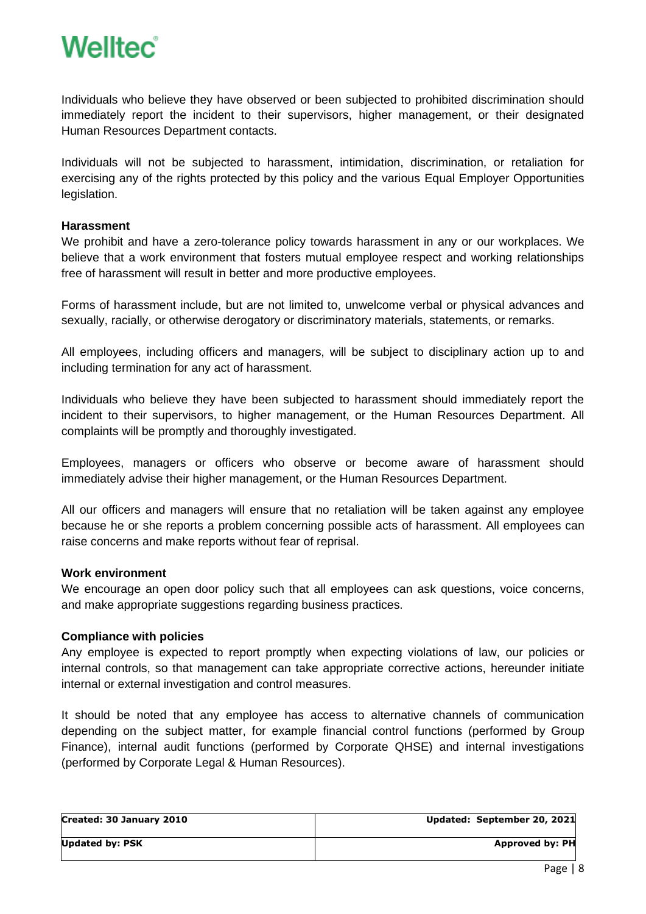

Individuals who believe they have observed or been subjected to prohibited discrimination should immediately report the incident to their supervisors, higher management, or their designated Human Resources Department contacts.

Individuals will not be subjected to harassment, intimidation, discrimination, or retaliation for exercising any of the rights protected by this policy and the various Equal Employer Opportunities legislation.

#### **Harassment**

We prohibit and have a zero-tolerance policy towards harassment in any or our workplaces. We believe that a work environment that fosters mutual employee respect and working relationships free of harassment will result in better and more productive employees.

Forms of harassment include, but are not limited to, unwelcome verbal or physical advances and sexually, racially, or otherwise derogatory or discriminatory materials, statements, or remarks.

All employees, including officers and managers, will be subject to disciplinary action up to and including termination for any act of harassment.

Individuals who believe they have been subjected to harassment should immediately report the incident to their supervisors, to higher management, or the Human Resources Department. All complaints will be promptly and thoroughly investigated.

Employees, managers or officers who observe or become aware of harassment should immediately advise their higher management, or the Human Resources Department.

All our officers and managers will ensure that no retaliation will be taken against any employee because he or she reports a problem concerning possible acts of harassment. All employees can raise concerns and make reports without fear of reprisal.

#### **Work environment**

We encourage an open door policy such that all employees can ask questions, voice concerns, and make appropriate suggestions regarding business practices.

#### **Compliance with policies**

Any employee is expected to report promptly when expecting violations of law, our policies or internal controls, so that management can take appropriate corrective actions, hereunder initiate internal or external investigation and control measures.

It should be noted that any employee has access to alternative channels of communication depending on the subject matter, for example financial control functions (performed by Group Finance), internal audit functions (performed by Corporate QHSE) and internal investigations (performed by Corporate Legal & Human Resources).

| Created: 30 January 2010 | Updated: September 20, 2021 |
|--------------------------|-----------------------------|
| <b>Updated by: PSK</b>   | Approved by: PH             |
|                          |                             |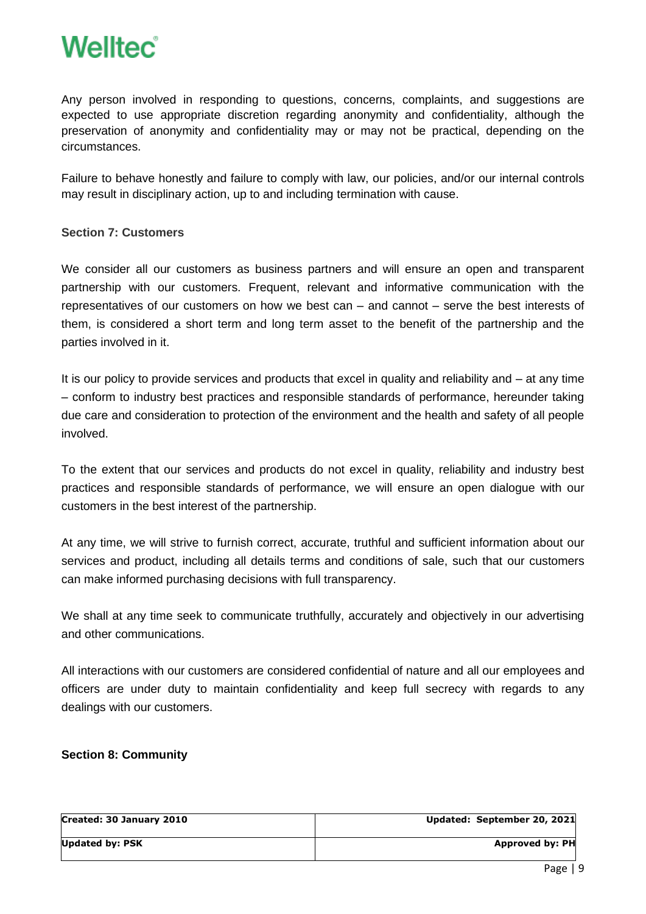

Any person involved in responding to questions, concerns, complaints, and suggestions are expected to use appropriate discretion regarding anonymity and confidentiality, although the preservation of anonymity and confidentiality may or may not be practical, depending on the circumstances.

Failure to behave honestly and failure to comply with law, our policies, and/or our internal controls may result in disciplinary action, up to and including termination with cause.

### **Section 7: Customers**

We consider all our customers as business partners and will ensure an open and transparent partnership with our customers. Frequent, relevant and informative communication with the representatives of our customers on how we best can – and cannot – serve the best interests of them, is considered a short term and long term asset to the benefit of the partnership and the parties involved in it.

It is our policy to provide services and products that excel in quality and reliability and – at any time – conform to industry best practices and responsible standards of performance, hereunder taking due care and consideration to protection of the environment and the health and safety of all people involved.

To the extent that our services and products do not excel in quality, reliability and industry best practices and responsible standards of performance, we will ensure an open dialogue with our customers in the best interest of the partnership.

At any time, we will strive to furnish correct, accurate, truthful and sufficient information about our services and product, including all details terms and conditions of sale, such that our customers can make informed purchasing decisions with full transparency.

We shall at any time seek to communicate truthfully, accurately and objectively in our advertising and other communications.

All interactions with our customers are considered confidential of nature and all our employees and officers are under duty to maintain confidentiality and keep full secrecy with regards to any dealings with our customers.

### **Section 8: Community**

| Updated: September 20, 2021 |
|-----------------------------|
| <b>Approved by: PH</b>      |
|                             |